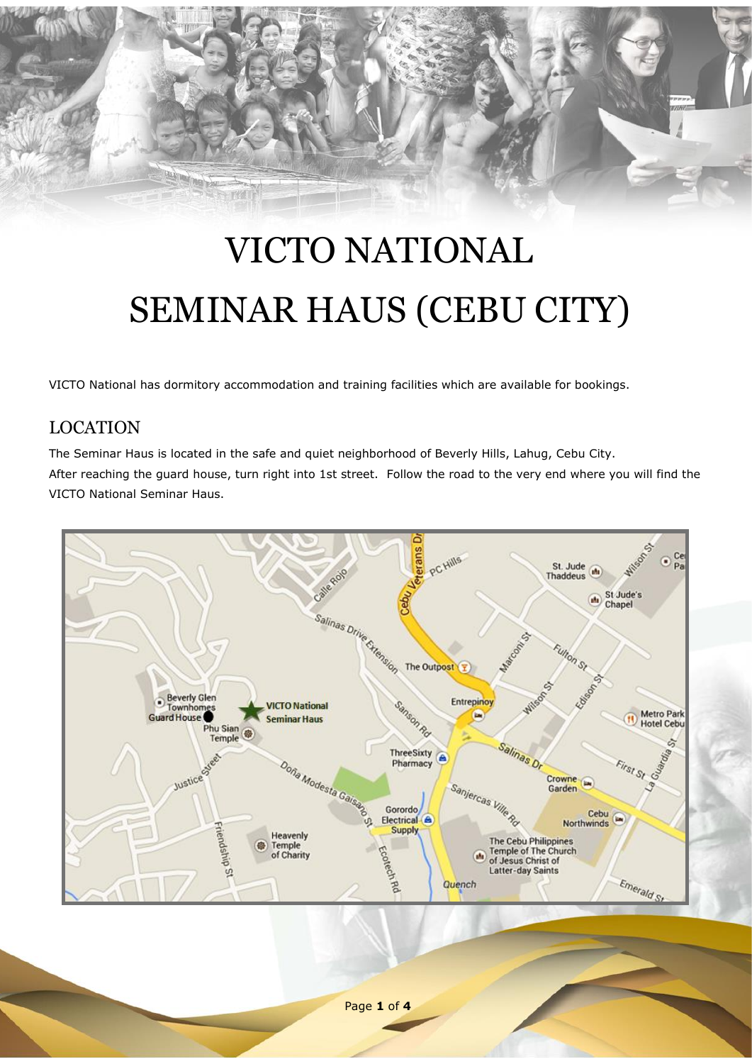

# VICTO NATIONAL SEMINAR HAUS (CEBU CITY)

VICTO National has dormitory accommodation and training facilities which are available for bookings.

## LOCATION

The Seminar Haus is located in the safe and quiet neighborhood of Beverly Hills, Lahug, Cebu City. After reaching the guard house, turn right into 1st street. Follow the road to the very end where you will find the VICTO National Seminar Haus.

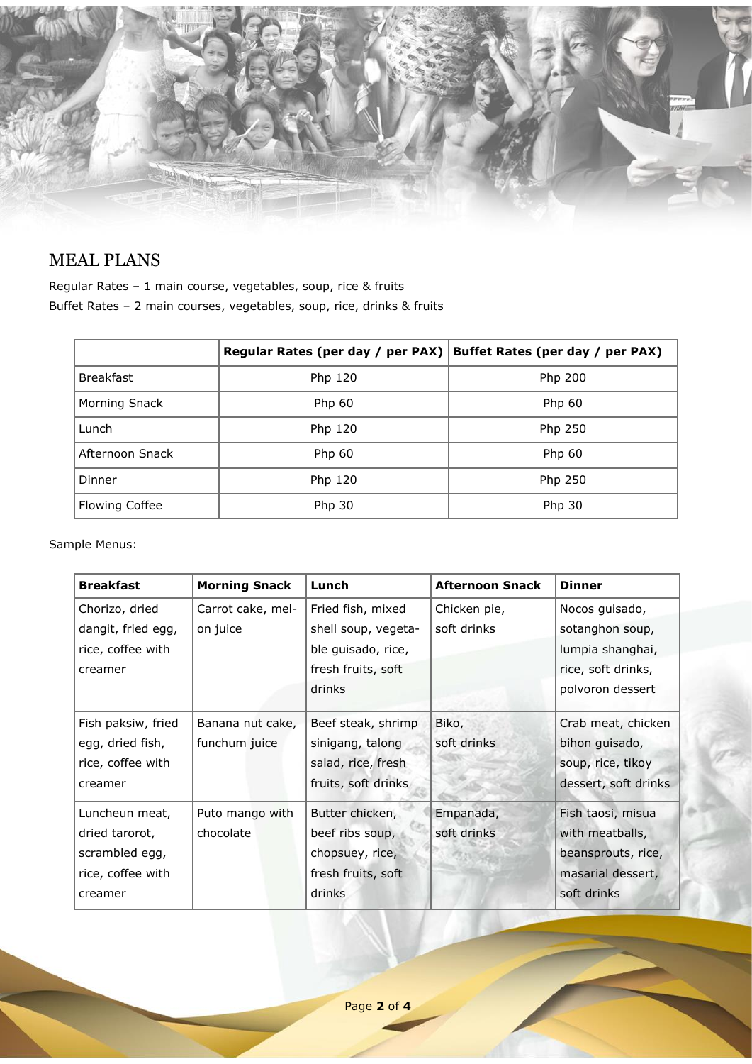

# MEAL PLANS

Regular Rates – 1 main course, vegetables, soup, rice & fruits Buffet Rates – 2 main courses, vegetables, soup, rice, drinks & fruits

|                  | Regular Rates (per day / per PAX)   Buffet Rates (per day / per PAX) |         |  |
|------------------|----------------------------------------------------------------------|---------|--|
| <b>Breakfast</b> | Php 120                                                              | Php 200 |  |
| Morning Snack    | Php 60                                                               | Php 60  |  |
| l Lunch          | Php 120                                                              | Php 250 |  |
| Afternoon Snack  | Php 60                                                               | Php 60  |  |
| Dinner           | Php 120                                                              | Php 250 |  |
| Flowing Coffee   | Php 30                                                               | Php 30  |  |

#### Sample Menus:

| <b>Breakfast</b>   | <b>Morning Snack</b> | Lunch               | <b>Afternoon Snack</b> | <b>Dinner</b>        |
|--------------------|----------------------|---------------------|------------------------|----------------------|
| Chorizo, dried     | Carrot cake, mel-    | Fried fish, mixed   | Chicken pie,           | Nocos guisado,       |
| dangit, fried egg, | on juice             | shell soup, vegeta- | soft drinks            | sotanghon soup,      |
| rice, coffee with  |                      | ble guisado, rice,  |                        | lumpia shanghai,     |
| creamer            |                      | fresh fruits, soft  |                        | rice, soft drinks,   |
|                    |                      | drinks              |                        | polvoron dessert     |
| Fish paksiw, fried | Banana nut cake,     | Beef steak, shrimp  | Biko,                  | Crab meat, chicken   |
| egg, dried fish,   | funchum juice        | sinigang, talong    | soft drinks            | bihon guisado,       |
| rice, coffee with  |                      | salad, rice, fresh  |                        | soup, rice, tikoy    |
| creamer            |                      | fruits, soft drinks |                        | dessert, soft drinks |
| Luncheun meat,     | Puto mango with      | Butter chicken,     | Empanada,              | Fish taosi, misua    |
| dried tarorot,     | chocolate            | beef ribs soup,     | soft drinks            | with meatballs,      |
| scrambled egg,     |                      | chopsuey, rice,     |                        | beansprouts, rice,   |
| rice, coffee with  |                      | fresh fruits, soft  |                        | masarial dessert,    |
| creamer            |                      | drinks              |                        | soft drinks          |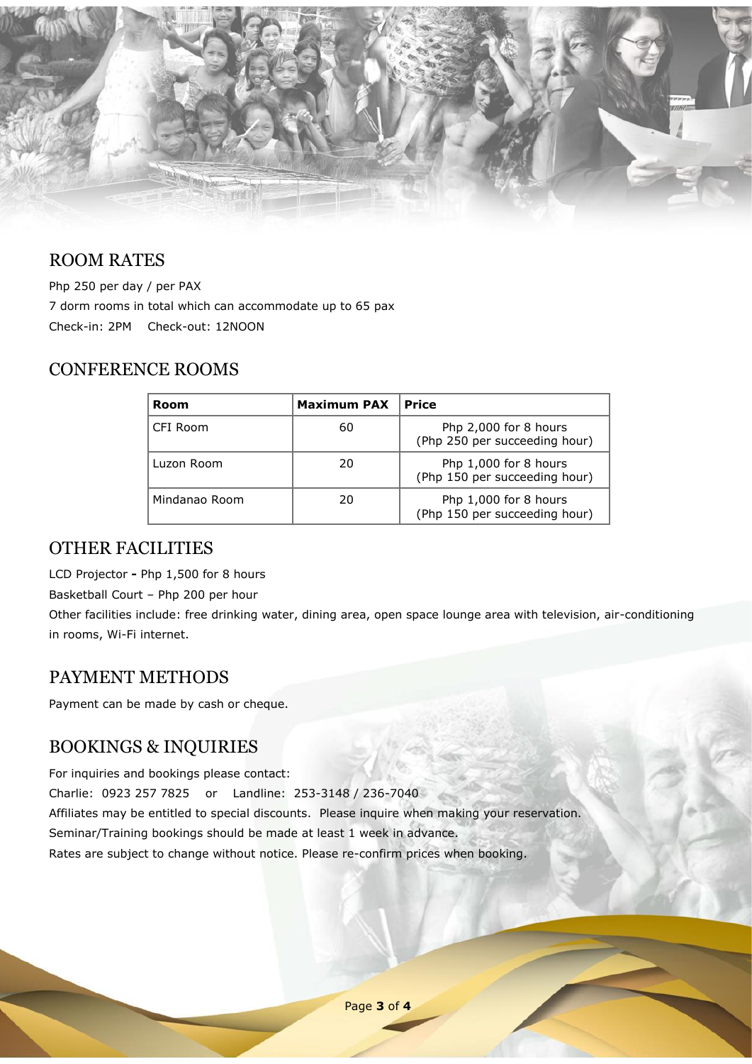

### ROOM RATES

Php 250 per day / per PAX 7 dorm rooms in total which can accommodate up to 65 pax Check-in: 2PM Check-out: 12NOON

#### CONFERENCE ROOMS

| Room          | <b>Maximum PAX</b> | <b>Price</b>                                           |
|---------------|--------------------|--------------------------------------------------------|
| CFI Room      | 60                 | Php 2,000 for 8 hours<br>(Php 250 per succeeding hour) |
| Luzon Room    | 20                 | Php 1,000 for 8 hours<br>(Php 150 per succeeding hour) |
| Mindanao Room | 20                 | Php 1,000 for 8 hours<br>(Php 150 per succeeding hour) |

### OTHER FACILITIES

LCD Projector **-** Php 1,500 for 8 hours

Basketball Court – Php 200 per hour

Other facilities include: free drinking water, dining area, open space lounge area with television, air-conditioning in rooms, Wi-Fi internet.

### PAYMENT METHODS

Payment can be made by cash or cheque.

#### BOOKINGS & INQUIRIES

For inquiries and bookings please contact:

Charlie: 0923 257 7825 or Landline: 253-3148 / 236-7040 Affiliates may be entitled to special discounts. Please inquire when making your reservation. Seminar/Training bookings should be made at least 1 week in advance. Rates are subject to change without notice. Please re-confirm prices when booking.